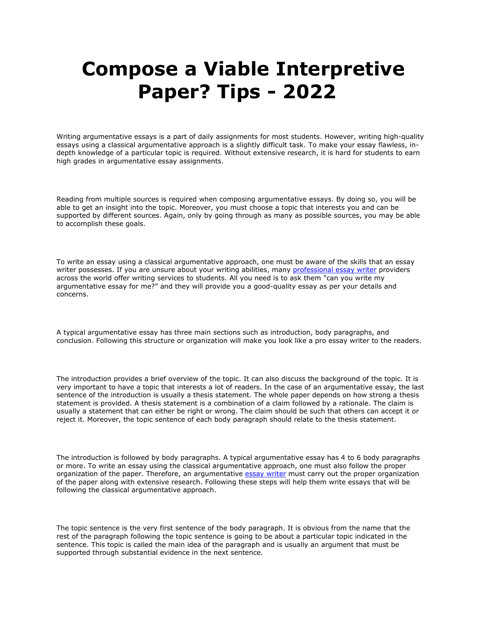## **Compose a Viable Interpretive Paper? Tips - 2022**

Writing argumentative essays is a part of daily assignments for most students. However, writing high-quality essays using a classical argumentative approach is a slightly difficult task. To make your essay flawless, indepth knowledge of a particular topic is required. Without extensive research, it is hard for students to earn high grades in argumentative essay assignments.

Reading from multiple sources is required when composing argumentative essays. By doing so, you will be able to get an insight into the topic. Moreover, you must choose a topic that interests you and can be supported by different sources. Again, only by going through as many as possible sources, you may be able to accomplish these goals.

To write an essay using a classical argumentative approach, one must be aware of the skills that an essay writer possesses. If you are unsure about your writing abilities, many [professional essay writer](https://youressaywriter.net/) providers across the world offer writing services to students. All you need is to ask them "can you write my argumentative essay for me?" and they will provide you a good-quality essay as per your details and concerns.

A typical argumentative essay has three main sections such as introduction, body paragraphs, and conclusion. Following this structure or organization will make you look like a pro essay writer to the readers.

The introduction provides a brief overview of the topic. It can also discuss the background of the topic. It is very important to have a topic that interests a lot of readers. In the case of an argumentative essay, the last sentence of the introduction is usually a thesis statement. The whole paper depends on how strong a thesis statement is provided. A thesis statement is a combination of a claim followed by a rationale. The claim is usually a statement that can either be right or wrong. The claim should be such that others can accept it or reject it. Moreover, the topic sentence of each body paragraph should relate to the thesis statement.

The introduction is followed by body paragraphs. A typical argumentative essay has 4 to 6 body paragraphs or more. To write an essay using the classical argumentative approach, one must also follow the proper organization of the paper. Therefore, an argumentative [essay writer](https://youressaywriter.net/) must carry out the proper organization of the paper along with extensive research. Following these steps will help them write essays that will be following the classical argumentative approach.

The topic sentence is the very first sentence of the body paragraph. It is obvious from the name that the rest of the paragraph following the topic sentence is going to be about a particular topic indicated in the sentence. This topic is called the main idea of the paragraph and is usually an argument that must be supported through substantial evidence in the next sentence.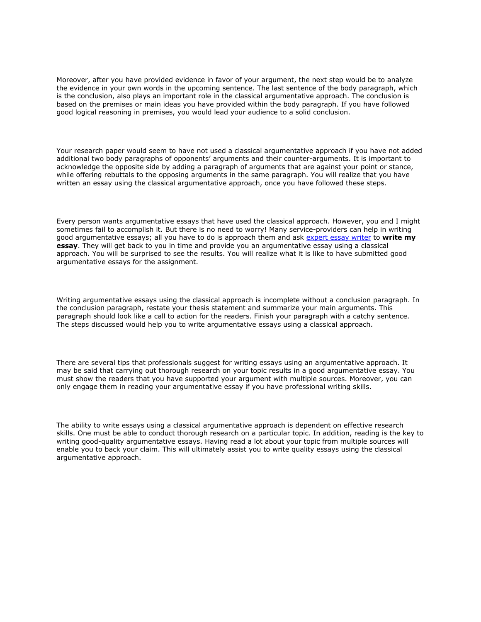Moreover, after you have provided evidence in favor of your argument, the next step would be to analyze the evidence in your own words in the upcoming sentence. The last sentence of the body paragraph, which is the conclusion, also plays an important role in the classical argumentative approach. The conclusion is based on the premises or main ideas you have provided within the body paragraph. If you have followed good logical reasoning in premises, you would lead your audience to a solid conclusion.

Your research paper would seem to have not used a classical argumentative approach if you have not added additional two body paragraphs of opponents' arguments and their counter-arguments. It is important to acknowledge the opposite side by adding a paragraph of arguments that are against your point or stance, while offering rebuttals to the opposing arguments in the same paragraph. You will realize that you have written an essay using the classical argumentative approach, once you have followed these steps.

Every person wants argumentative essays that have used the classical approach. However, you and I might sometimes fail to accomplish it. But there is no need to worry! Many service-providers can help in writing good argumentative essays; all you have to do is approach them and ask [expert essay writer](https://youressaywriter.net/) to **write my essay**. They will get back to you in time and provide you an argumentative essay using a classical approach. You will be surprised to see the results. You will realize what it is like to have submitted good argumentative essays for the assignment.

Writing argumentative essays using the classical approach is incomplete without a conclusion paragraph. In the conclusion paragraph, restate your thesis statement and summarize your main arguments. This paragraph should look like a call to action for the readers. Finish your paragraph with a catchy sentence. The steps discussed would help you to write argumentative essays using a classical approach.

There are several tips that professionals suggest for writing essays using an argumentative approach. It may be said that carrying out thorough research on your topic results in a good argumentative essay. You must show the readers that you have supported your argument with multiple sources. Moreover, you can only engage them in reading your argumentative essay if you have professional writing skills.

The ability to write essays using a classical argumentative approach is dependent on effective research skills. One must be able to conduct thorough research on a particular topic. In addition, reading is the key to writing good-quality argumentative essays. Having read a lot about your topic from multiple sources will enable you to back your claim. This will ultimately assist you to write quality essays using the classical argumentative approach.